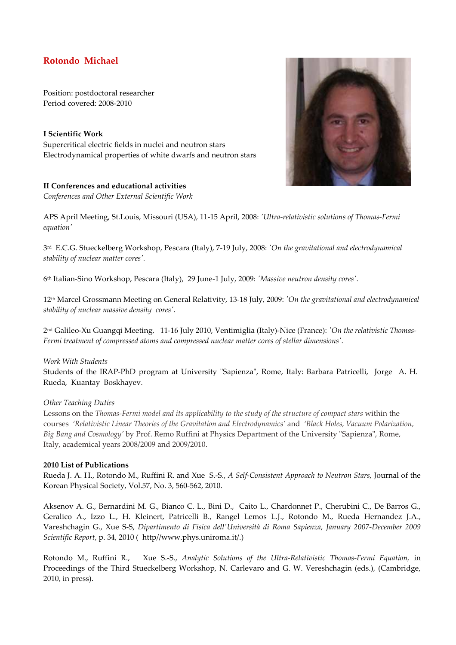# **Rotondo Michael**

Position: postdoctoral researcher Period covered: 2008-2010

**I Scientific Work**  Supercritical electric fields in nuclei and neutron stars Electrodynamical properties of white dwarfs and neutron stars

## **II Conferences and educational activities**

*Conferences and Other External Scientific Work* 



3 rd E.C.G. Stueckelberg Workshop, Pescara (Italy), 7-19 July, 2008: *'On the gravitational and electrodynamical stability of nuclear matter cores'.* 

6 th Italian-Sino Workshop, Pescara (Italy), 29 June-1 July, 2009: *'Massive neutron density cores'.* 

12th Marcel Grossmann Meeting on General Relativity, 13-18 July, 2009: *'On the gravitational and electrodynamical stability of nuclear massive density cores'.* 

2 nd Galileo-Xu Guangqi Meeting, 11-16 July 2010, Ventimiglia (Italy)-Nice (France): *'On the relativistic Thomas-Fermi treatment of compressed atoms and compressed nuclear matter cores of stellar dimensions'.* 

### *Work With Students*

Students of the IRAP-PhD program at University "Sapienza", Rome, Italy: Barbara Patricelli, Jorge A. H. Rueda, Kuantay Boskhayev.

### *Other Teaching Duties*

Lessons on the *Thomas-Fermi model and its applicability to the study of the structure of compact stars* within the courses *'Relativistic Linear Theories of the Gravitation and Electrodynamics'* and *'Black Holes, Vacuum Polarization, Big Bang and Cosmology'* by Prof. Remo Ruffini at Physics Department of the University "Sapienza", Rome, Italy, academical years 2008/2009 and 2009/2010.

### **2010 List of Publications**

Rueda J. A. H., Rotondo M., Ruffini R. and Xue S.-S., *A Self-Consistent Approach to Neutron Stars,* Journal of the Korean Physical Society, Vol.57, No. 3, 560-562, 2010.

Aksenov A. G., Bernardini M. G., Bianco C. L., Bini D., Caito L., Chardonnet P., Cherubini C., De Barros G., Geralico A., Izzo L., H. Kleinert, Patricelli B., Rangel Lemos L.J., Rotondo M., Rueda Hernandez J.A., Vareshchagin G., Xue S-S, *Dipartimento di Fisica dell'Università di Roma Sapienza, January 2007-December 2009 Scientific Report*, p. 34, 2010 ( http//www.phys.uniroma.it/.)

Rotondo M., Ruffini R., Xue S.-S., *Analytic Solutions of the Ultra-Relativistic Thomas-Fermi Equation,* in Proceedings of the Third Stueckelberg Workshop, N. Carlevaro and G. W. Vereshchagin (eds.), (Cambridge, 2010, in press).